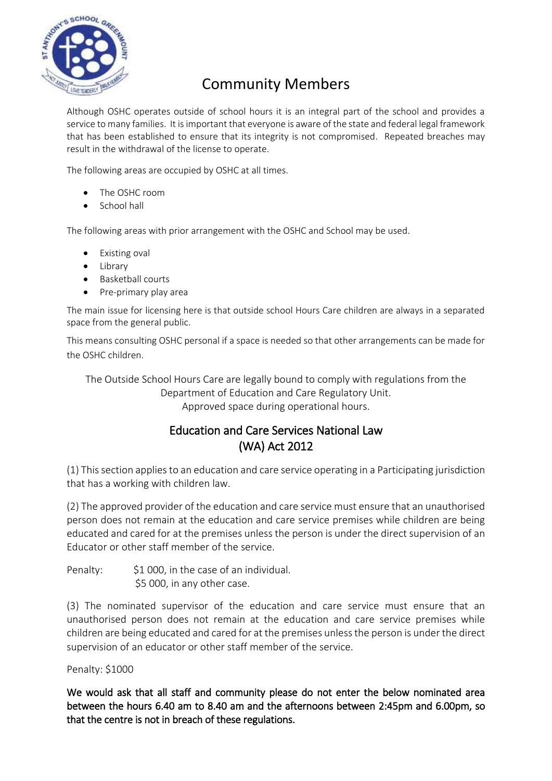

## Community Members

Although OSHC operates outside of school hours it is an integral part of the school and provides a service to many families. It is important that everyone is aware of the state and federal legal framework that has been established to ensure that its integrity is not compromised. Repeated breaches may result in the withdrawal of the license to operate.

The following areas are occupied by OSHC at all times.

- The OSHC room
- School hall

The following areas with prior arrangement with the OSHC and School may be used.

- Existing oval
- Library
- Basketball courts
- Pre-primary play area

The main issue for licensing here is that outside school Hours Care children are always in a separated space from the general public.

This means consulting OSHC personal if a space is needed so that other arrangements can be made for the OSHC children.

The Outside School Hours Care are legally bound to comply with regulations from the Department of Education and Care Regulatory Unit. Approved space during operational hours.

## Education and Care Services National Law (WA) Act 2012

(1) This section applies to an education and care service operating in a Participating jurisdiction that has a working with children law.

(2) The approved provider of the education and care service must ensure that an unauthorised person does not remain at the education and care service premises while children are being educated and cared for at the premises unless the person is under the direct supervision of an Educator or other staff member of the service.

Penalty: \$1 000, in the case of an individual. \$5 000, in any other case.

(3) The nominated supervisor of the education and care service must ensure that an unauthorised person does not remain at the education and care service premises while children are being educated and cared for at the premises unless the person is under the direct supervision of an educator or other staff member of the service.

Penalty: \$1000

We would ask that all staff and community please do not enter the below nominated area between the hours 6.40 am to 8.40 am and the afternoons between 2:45pm and 6.00pm, so that the centre is not in breach of these regulations.